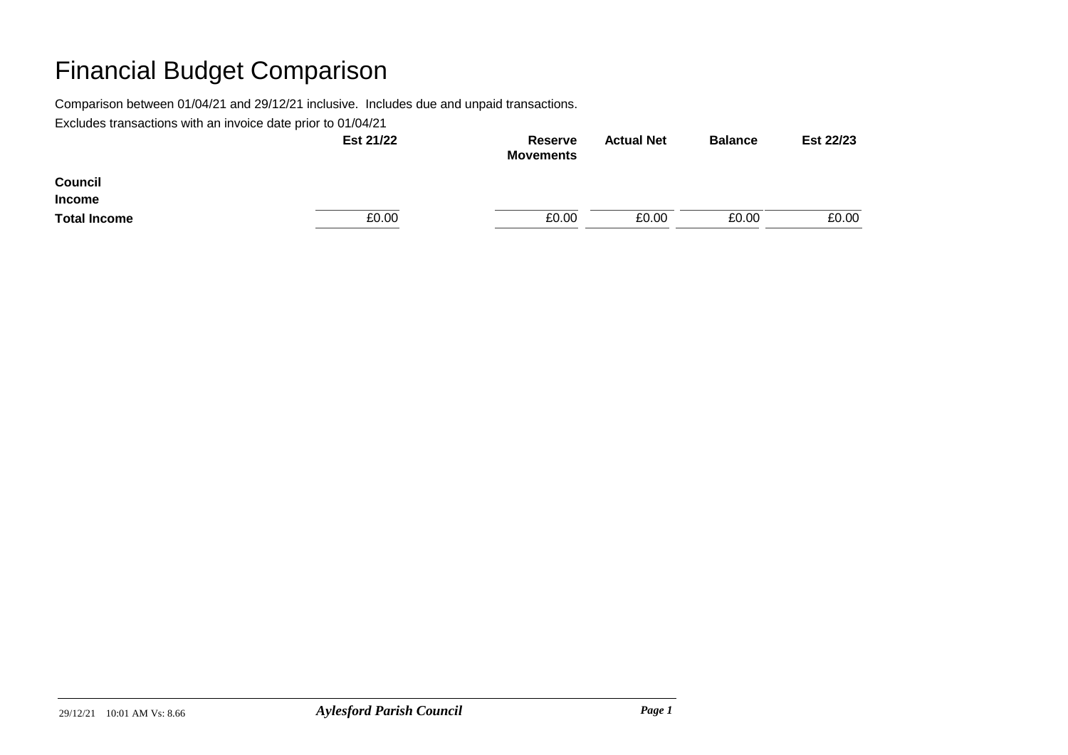Comparison between 01/04/21 and 29/12/21 inclusive. Includes due and unpaid transactions.

|                     | Est 21/22 | Reserve<br><b>Movements</b> | <b>Actual Net</b> | <b>Balance</b> | Est 22/23 |
|---------------------|-----------|-----------------------------|-------------------|----------------|-----------|
| <b>Council</b>      |           |                             |                   |                |           |
| <b>Income</b>       |           |                             |                   |                |           |
| <b>Total Income</b> | £0.00     | £0.00                       | £0.00             | £0.00          | £0.00     |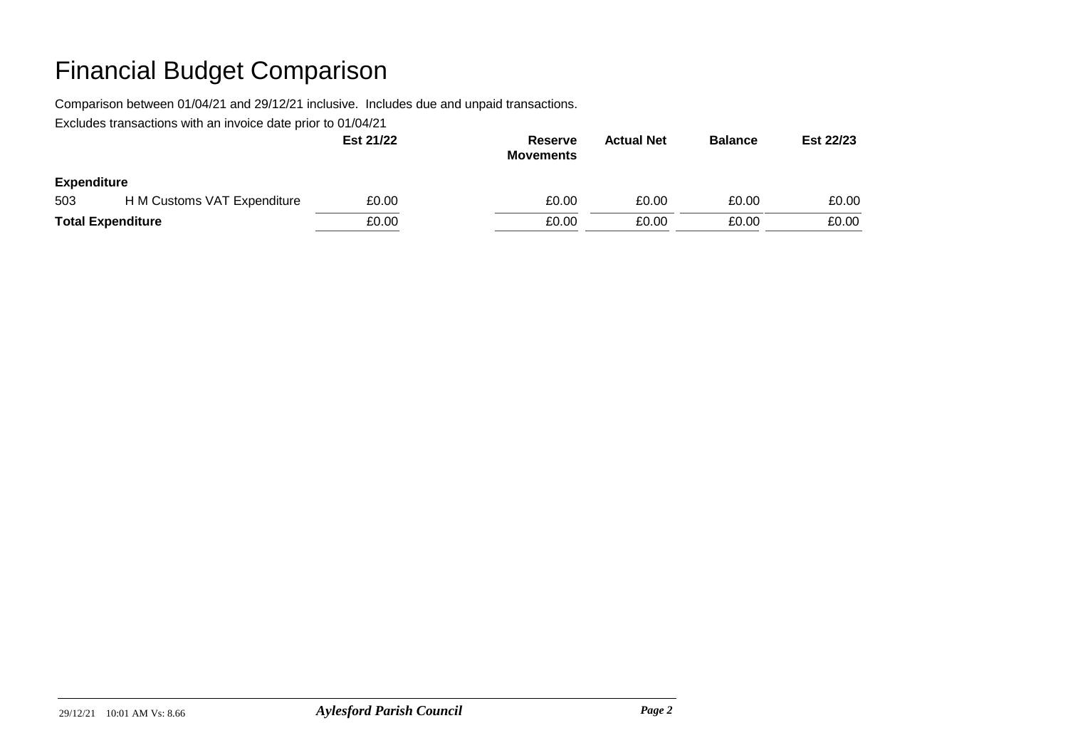Comparison between 01/04/21 and 29/12/21 inclusive. Includes due and unpaid transactions.

|                          |                             | Est 21/22 | <b>Reserve</b><br><b>Movements</b> | <b>Actual Net</b> | <b>Balance</b> | Est 22/23 |
|--------------------------|-----------------------------|-----------|------------------------------------|-------------------|----------------|-----------|
| <b>Expenditure</b>       |                             |           |                                    |                   |                |           |
| 503                      | H M Customs VAT Expenditure | £0.00     | £0.00                              | £0.00             | £0.00          | £0.00     |
| <b>Total Expenditure</b> |                             | £0.00     | £0.00                              | £0.00             | £0.00          | £0.00     |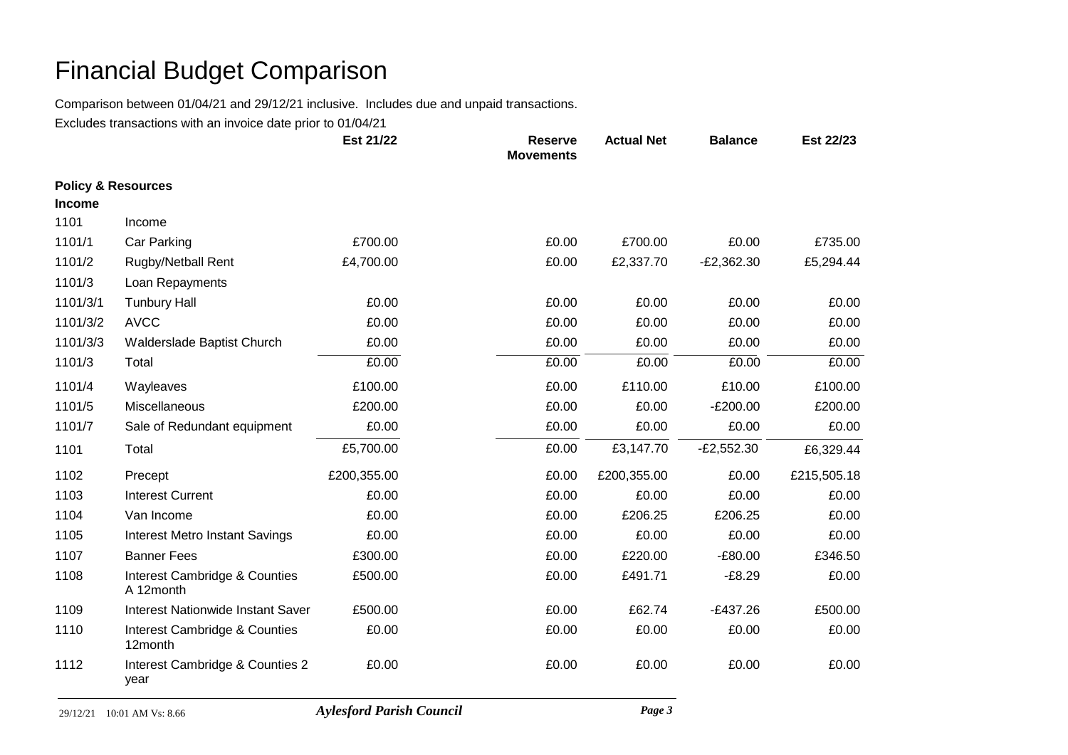Comparison between 01/04/21 and 29/12/21 inclusive. Includes due and unpaid transactions.

|                               |                                            | Est 21/22   | <b>Reserve</b><br><b>Movements</b> | <b>Actual Net</b> | <b>Balance</b> | Est 22/23   |
|-------------------------------|--------------------------------------------|-------------|------------------------------------|-------------------|----------------|-------------|
| <b>Policy &amp; Resources</b> |                                            |             |                                    |                   |                |             |
| <b>Income</b>                 |                                            |             |                                    |                   |                |             |
| 1101                          | Income                                     |             |                                    |                   |                |             |
| 1101/1                        | Car Parking                                | £700.00     | £0.00                              | £700.00           | £0.00          | £735.00     |
| 1101/2                        | Rugby/Netball Rent                         | £4,700.00   | £0.00                              | £2,337.70         | $-E2,362.30$   | £5,294.44   |
| 1101/3                        | Loan Repayments                            |             |                                    |                   |                |             |
| 1101/3/1                      | <b>Tunbury Hall</b>                        | £0.00       | £0.00                              | £0.00             | £0.00          | £0.00       |
| 1101/3/2                      | <b>AVCC</b>                                | £0.00       | £0.00                              | £0.00             | £0.00          | £0.00       |
| 1101/3/3                      | Walderslade Baptist Church                 | £0.00       | £0.00                              | £0.00             | £0.00          | £0.00       |
| 1101/3                        | Total                                      | £0.00       | £0.00                              | £0.00             | £0.00          | £0.00       |
| 1101/4                        | Wayleaves                                  | £100.00     | £0.00                              | £110.00           | £10.00         | £100.00     |
| 1101/5                        | Miscellaneous                              | £200.00     | £0.00                              | £0.00             | $-E200.00$     | £200.00     |
| 1101/7                        | Sale of Redundant equipment                | £0.00       | £0.00                              | £0.00             | £0.00          | £0.00       |
| 1101                          | Total                                      | £5,700.00   | £0.00                              | £3,147.70         | $-E2,552.30$   | £6,329.44   |
| 1102                          | Precept                                    | £200,355.00 | £0.00                              | £200,355.00       | £0.00          | £215,505.18 |
| 1103                          | <b>Interest Current</b>                    | £0.00       | £0.00                              | £0.00             | £0.00          | £0.00       |
| 1104                          | Van Income                                 | £0.00       | £0.00                              | £206.25           | £206.25        | £0.00       |
| 1105                          | <b>Interest Metro Instant Savings</b>      | £0.00       | £0.00                              | £0.00             | £0.00          | £0.00       |
| 1107                          | <b>Banner Fees</b>                         | £300.00     | £0.00                              | £220.00           | $-£80.00$      | £346.50     |
| 1108                          | Interest Cambridge & Counties<br>A 12month | £500.00     | £0.00                              | £491.71           | $-£8.29$       | £0.00       |
| 1109                          | <b>Interest Nationwide Instant Saver</b>   | £500.00     | £0.00                              | £62.74            | $-E437.26$     | £500.00     |
| 1110                          | Interest Cambridge & Counties<br>12month   | £0.00       | £0.00                              | £0.00             | £0.00          | £0.00       |
| 1112                          | Interest Cambridge & Counties 2<br>year    | £0.00       | £0.00                              | £0.00             | £0.00          | £0.00       |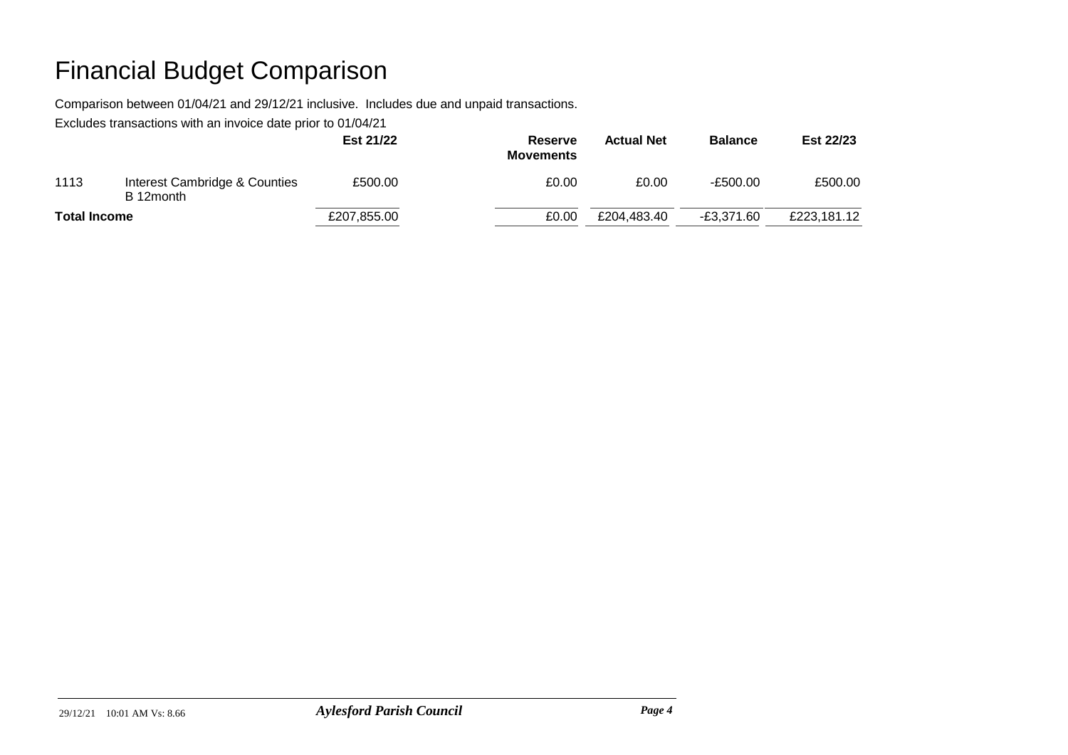Comparison between 01/04/21 and 29/12/21 inclusive. Includes due and unpaid transactions.

|                     |                                            | Est 21/22   | Reserve<br><b>Movements</b> | <b>Actual Net</b> | <b>Balance</b> | Est 22/23   |
|---------------------|--------------------------------------------|-------------|-----------------------------|-------------------|----------------|-------------|
| 1113                | Interest Cambridge & Counties<br>B 12month | £500.00     | £0.00                       | £0.00             | -£500.00       | £500.00     |
| <b>Total Income</b> |                                            | £207,855.00 | £0.00                       | £204,483.40       | $-£3.371.60$   | £223,181.12 |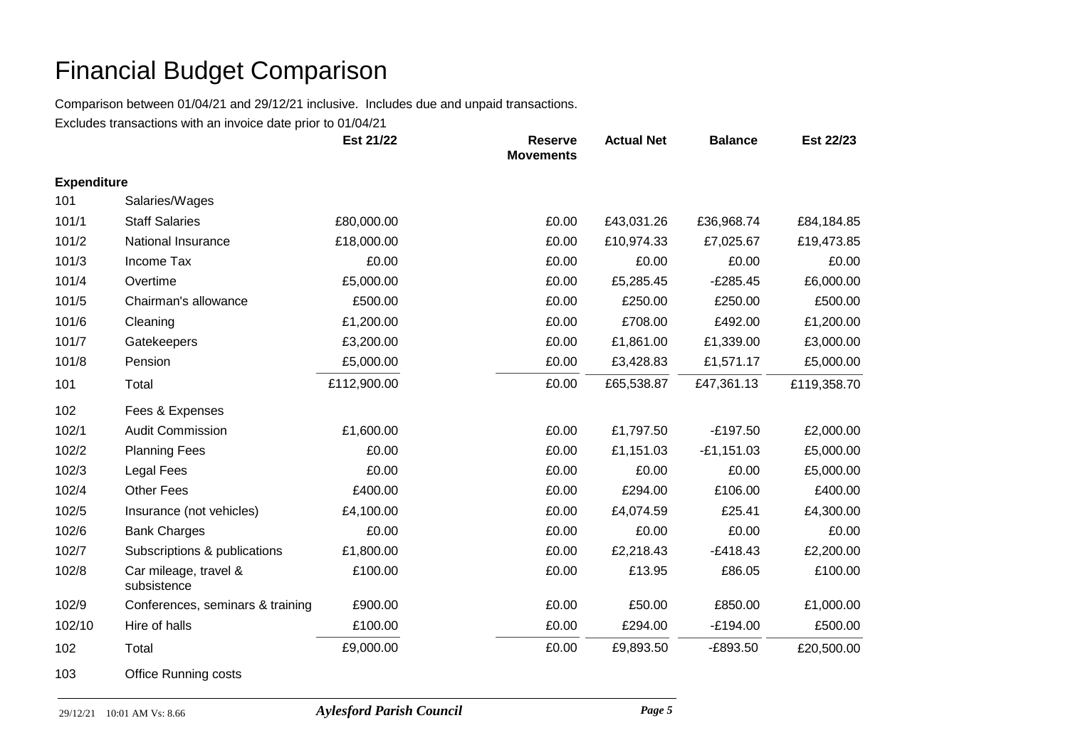Comparison between 01/04/21 and 29/12/21 inclusive. Includes due and unpaid transactions.

Excludes transactions with an invoice date prior to 01/04/21

|                    |                                      | Est 21/22   | <b>Reserve</b><br><b>Movements</b> | <b>Actual Net</b> | <b>Balance</b> | Est 22/23   |
|--------------------|--------------------------------------|-------------|------------------------------------|-------------------|----------------|-------------|
| <b>Expenditure</b> |                                      |             |                                    |                   |                |             |
| 101                | Salaries/Wages                       |             |                                    |                   |                |             |
| 101/1              | <b>Staff Salaries</b>                | £80,000.00  | £0.00                              | £43,031.26        | £36,968.74     | £84,184.85  |
| 101/2              | National Insurance                   | £18,000.00  | £0.00                              | £10,974.33        | £7,025.67      | £19,473.85  |
| 101/3              | Income Tax                           | £0.00       | £0.00                              | £0.00             | £0.00          | £0.00       |
| 101/4              | Overtime                             | £5,000.00   | £0.00                              | £5,285.45         | $-E285.45$     | £6,000.00   |
| 101/5              | Chairman's allowance                 | £500.00     | £0.00                              | £250.00           | £250.00        | £500.00     |
| 101/6              | Cleaning                             | £1,200.00   | £0.00                              | £708.00           | £492.00        | £1,200.00   |
| 101/7              | Gatekeepers                          | £3,200.00   | £0.00                              | £1,861.00         | £1,339.00      | £3,000.00   |
| 101/8              | Pension                              | £5,000.00   | £0.00                              | £3,428.83         | £1,571.17      | £5,000.00   |
| 101                | Total                                | £112,900.00 | £0.00                              | £65,538.87        | £47,361.13     | £119,358.70 |
| 102                | Fees & Expenses                      |             |                                    |                   |                |             |
| 102/1              | <b>Audit Commission</b>              | £1,600.00   | £0.00                              | £1,797.50         | $-£197.50$     | £2,000.00   |
| 102/2              | <b>Planning Fees</b>                 | £0.00       | £0.00                              | £1,151.03         | $-E1,151.03$   | £5,000.00   |
| 102/3              | <b>Legal Fees</b>                    | £0.00       | £0.00                              | £0.00             | £0.00          | £5,000.00   |
| 102/4              | <b>Other Fees</b>                    | £400.00     | £0.00                              | £294.00           | £106.00        | £400.00     |
| 102/5              | Insurance (not vehicles)             | £4,100.00   | £0.00                              | £4,074.59         | £25.41         | £4,300.00   |
| 102/6              | <b>Bank Charges</b>                  | £0.00       | £0.00                              | £0.00             | £0.00          | £0.00       |
| 102/7              | Subscriptions & publications         | £1,800.00   | £0.00                              | £2,218.43         | $-£418.43$     | £2,200.00   |
| 102/8              | Car mileage, travel &<br>subsistence | £100.00     | £0.00                              | £13.95            | £86.05         | £100.00     |
| 102/9              | Conferences, seminars & training     | £900.00     | £0.00                              | £50.00            | £850.00        | £1,000.00   |
| 102/10             | Hire of halls                        | £100.00     | £0.00                              | £294.00           | $-£194.00$     | £500.00     |
| 102                | Total                                | £9,000.00   | £0.00                              | £9,893.50         | $-E893.50$     | £20,500.00  |

103 Office Running costs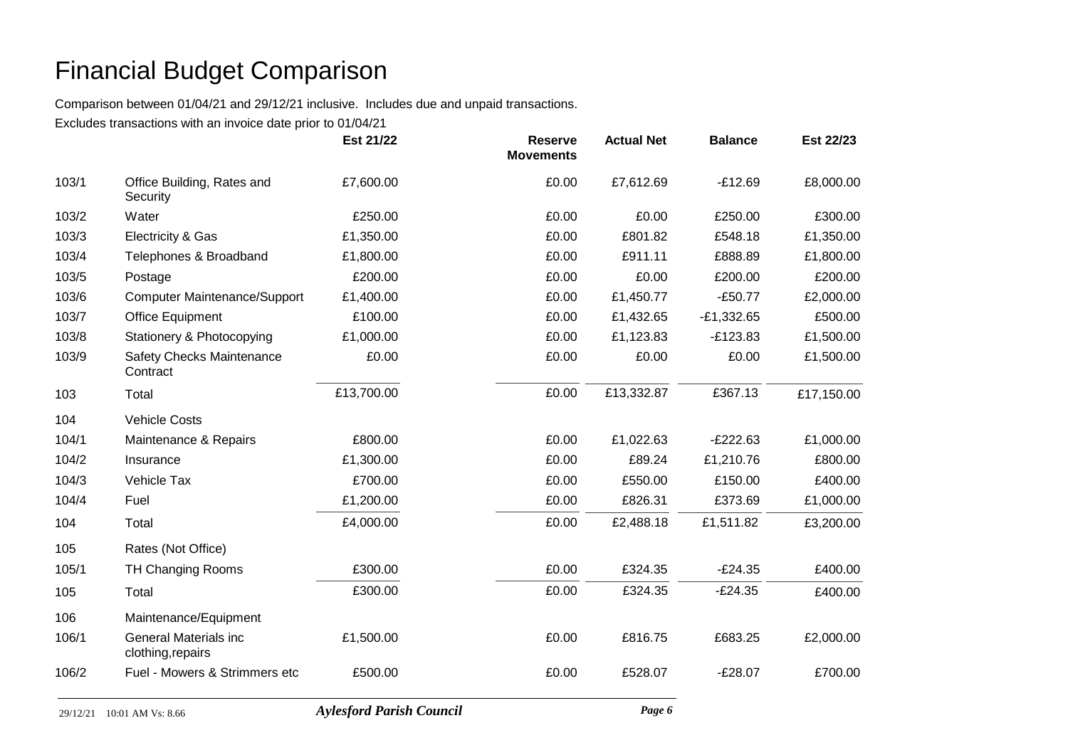Comparison between 01/04/21 and 29/12/21 inclusive. Includes due and unpaid transactions.

|       |                                                   | Est 21/22  | <b>Reserve</b><br><b>Movements</b> | <b>Actual Net</b> | <b>Balance</b> | Est 22/23  |
|-------|---------------------------------------------------|------------|------------------------------------|-------------------|----------------|------------|
| 103/1 | Office Building, Rates and<br>Security            | £7,600.00  | £0.00                              | £7,612.69         | $-£12.69$      | £8,000.00  |
| 103/2 | Water                                             | £250.00    | £0.00                              | £0.00             | £250.00        | £300.00    |
| 103/3 | Electricity & Gas                                 | £1,350.00  | £0.00                              | £801.82           | £548.18        | £1,350.00  |
| 103/4 | Telephones & Broadband                            | £1,800.00  | £0.00                              | £911.11           | £888.89        | £1,800.00  |
| 103/5 | Postage                                           | £200.00    | £0.00                              | £0.00             | £200.00        | £200.00    |
| 103/6 | <b>Computer Maintenance/Support</b>               | £1,400.00  | £0.00                              | £1,450.77         | $-£50.77$      | £2,000.00  |
| 103/7 | <b>Office Equipment</b>                           | £100.00    | £0.00                              | £1,432.65         | $-E1,332.65$   | £500.00    |
| 103/8 | Stationery & Photocopying                         | £1,000.00  | £0.00                              | £1,123.83         | $-E123.83$     | £1,500.00  |
| 103/9 | Safety Checks Maintenance<br>Contract             | £0.00      | £0.00                              | £0.00             | £0.00          | £1,500.00  |
| 103   | Total                                             | £13,700.00 | £0.00                              | £13,332.87        | £367.13        | £17,150.00 |
| 104   | <b>Vehicle Costs</b>                              |            |                                    |                   |                |            |
| 104/1 | Maintenance & Repairs                             | £800.00    | £0.00                              | £1,022.63         | $-E222.63$     | £1,000.00  |
| 104/2 | Insurance                                         | £1,300.00  | £0.00                              | £89.24            | £1,210.76      | £800.00    |
| 104/3 | Vehicle Tax                                       | £700.00    | £0.00                              | £550.00           | £150.00        | £400.00    |
| 104/4 | Fuel                                              | £1,200.00  | £0.00                              | £826.31           | £373.69        | £1,000.00  |
| 104   | Total                                             | £4,000.00  | £0.00                              | £2,488.18         | £1,511.82      | £3,200.00  |
| 105   | Rates (Not Office)                                |            |                                    |                   |                |            |
| 105/1 | <b>TH Changing Rooms</b>                          | £300.00    | £0.00                              | £324.35           | $-E24.35$      | £400.00    |
| 105   | Total                                             | £300.00    | £0.00                              | £324.35           | $-E24.35$      | £400.00    |
| 106   | Maintenance/Equipment                             |            |                                    |                   |                |            |
| 106/1 | <b>General Materials inc</b><br>clothing, repairs | £1,500.00  | £0.00                              | £816.75           | £683.25        | £2,000.00  |
| 106/2 | Fuel - Mowers & Strimmers etc                     | £500.00    | £0.00                              | £528.07           | $-E28.07$      | £700.00    |
|       |                                                   |            |                                    |                   |                |            |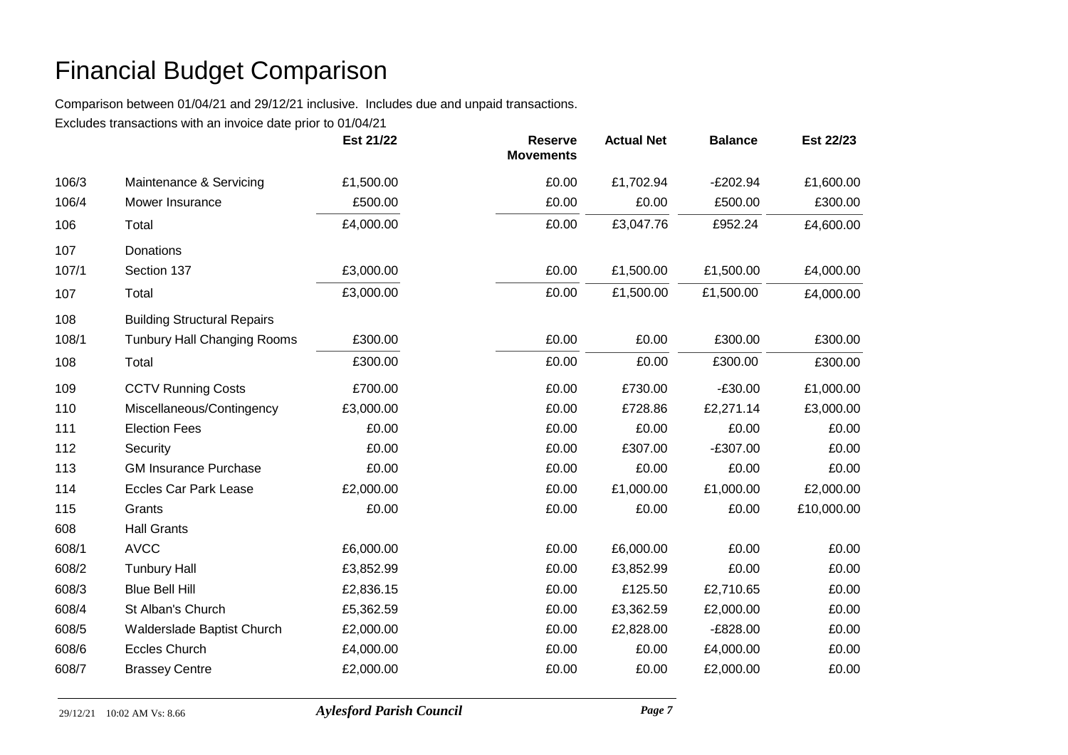Comparison between 01/04/21 and 29/12/21 inclusive. Includes due and unpaid transactions.

|       |                                    | Est 21/22 | <b>Reserve</b><br><b>Movements</b> | <b>Actual Net</b> | <b>Balance</b> | Est 22/23  |
|-------|------------------------------------|-----------|------------------------------------|-------------------|----------------|------------|
| 106/3 | Maintenance & Servicing            | £1,500.00 | £0.00                              | £1,702.94         | $-E202.94$     | £1,600.00  |
| 106/4 | Mower Insurance                    | £500.00   | £0.00                              | £0.00             | £500.00        | £300.00    |
| 106   | Total                              | £4,000.00 | £0.00                              | £3,047.76         | £952.24        | £4,600.00  |
| 107   | <b>Donations</b>                   |           |                                    |                   |                |            |
| 107/1 | Section 137                        | £3,000.00 | £0.00                              | £1,500.00         | £1,500.00      | £4,000.00  |
| 107   | Total                              | £3,000.00 | £0.00                              | £1,500.00         | £1,500.00      | £4,000.00  |
| 108   | <b>Building Structural Repairs</b> |           |                                    |                   |                |            |
| 108/1 | <b>Tunbury Hall Changing Rooms</b> | £300.00   | £0.00                              | £0.00             | £300.00        | £300.00    |
| 108   | Total                              | £300.00   | £0.00                              | £0.00             | £300.00        | £300.00    |
| 109   | <b>CCTV Running Costs</b>          | £700.00   | £0.00                              | £730.00           | $-£30.00$      | £1,000.00  |
| 110   | Miscellaneous/Contingency          | £3,000.00 | £0.00                              | £728.86           | £2,271.14      | £3,000.00  |
| 111   | <b>Election Fees</b>               | £0.00     | £0.00                              | £0.00             | £0.00          | £0.00      |
| 112   | Security                           | £0.00     | £0.00                              | £307.00           | $-£307.00$     | £0.00      |
| 113   | <b>GM Insurance Purchase</b>       | £0.00     | £0.00                              | £0.00             | £0.00          | £0.00      |
| 114   | <b>Eccles Car Park Lease</b>       | £2,000.00 | £0.00                              | £1,000.00         | £1,000.00      | £2,000.00  |
| 115   | Grants                             | £0.00     | £0.00                              | £0.00             | £0.00          | £10,000.00 |
| 608   | <b>Hall Grants</b>                 |           |                                    |                   |                |            |
| 608/1 | <b>AVCC</b>                        | £6,000.00 | £0.00                              | £6,000.00         | £0.00          | £0.00      |
| 608/2 | <b>Tunbury Hall</b>                | £3,852.99 | £0.00                              | £3,852.99         | £0.00          | £0.00      |
| 608/3 | <b>Blue Bell Hill</b>              | £2,836.15 | £0.00                              | £125.50           | £2,710.65      | £0.00      |
| 608/4 | St Alban's Church                  | £5,362.59 | £0.00                              | £3,362.59         | £2,000.00      | £0.00      |
| 608/5 | Walderslade Baptist Church         | £2,000.00 | £0.00                              | £2,828.00         | $-E828.00$     | £0.00      |
| 608/6 | <b>Eccles Church</b>               | £4,000.00 | £0.00                              | £0.00             | £4,000.00      | £0.00      |
| 608/7 | <b>Brassey Centre</b>              | £2,000.00 | £0.00                              | £0.00             | £2,000.00      | £0.00      |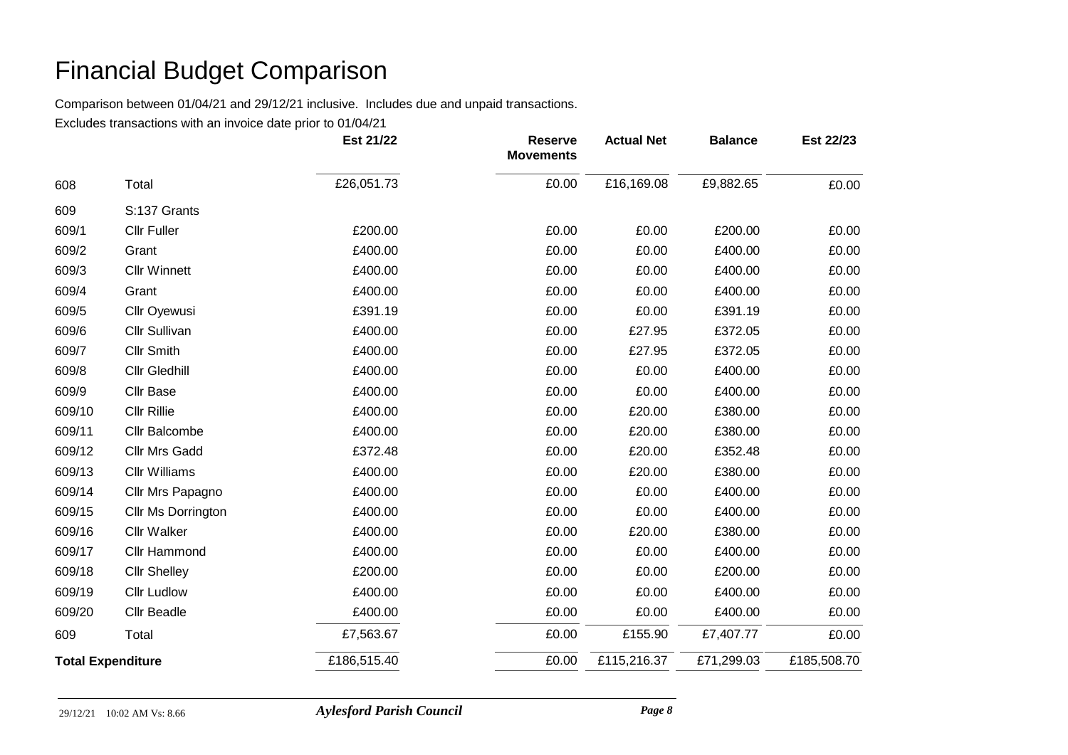Comparison between 01/04/21 and 29/12/21 inclusive. Includes due and unpaid transactions.

|                          |                      | Est 21/22   | <b>Reserve</b><br><b>Movements</b> | <b>Actual Net</b> | <b>Balance</b> | Est 22/23   |
|--------------------------|----------------------|-------------|------------------------------------|-------------------|----------------|-------------|
| 608                      | Total                | £26,051.73  | £0.00                              | £16,169.08        | £9,882.65      | £0.00       |
| 609                      | S:137 Grants         |             |                                    |                   |                |             |
| 609/1                    | <b>Cllr Fuller</b>   | £200.00     | £0.00                              | £0.00             | £200.00        | £0.00       |
| 609/2                    | Grant                | £400.00     | £0.00                              | £0.00             | £400.00        | £0.00       |
| 609/3                    | <b>Cllr Winnett</b>  | £400.00     | £0.00                              | £0.00             | £400.00        | £0.00       |
| 609/4                    | Grant                | £400.00     | £0.00                              | £0.00             | £400.00        | £0.00       |
| 609/5                    | Cllr Oyewusi         | £391.19     | £0.00                              | £0.00             | £391.19        | £0.00       |
| 609/6                    | <b>Cllr Sullivan</b> | £400.00     | £0.00                              | £27.95            | £372.05        | £0.00       |
| 609/7                    | <b>Cllr Smith</b>    | £400.00     | £0.00                              | £27.95            | £372.05        | £0.00       |
| 609/8                    | <b>Cllr Gledhill</b> | £400.00     | £0.00                              | £0.00             | £400.00        | £0.00       |
| 609/9                    | <b>Cllr Base</b>     | £400.00     | £0.00                              | £0.00             | £400.00        | £0.00       |
| 609/10                   | <b>Cllr Rillie</b>   | £400.00     | £0.00                              | £20.00            | £380.00        | £0.00       |
| 609/11                   | Cllr Balcombe        | £400.00     | £0.00                              | £20.00            | £380.00        | £0.00       |
| 609/12                   | <b>Cllr Mrs Gadd</b> | £372.48     | £0.00                              | £20.00            | £352.48        | £0.00       |
| 609/13                   | <b>Cllr Williams</b> | £400.00     | £0.00                              | £20.00            | £380.00        | £0.00       |
| 609/14                   | Cllr Mrs Papagno     | £400.00     | £0.00                              | £0.00             | £400.00        | £0.00       |
| 609/15                   | Cllr Ms Dorrington   | £400.00     | £0.00                              | £0.00             | £400.00        | £0.00       |
| 609/16                   | <b>Cllr Walker</b>   | £400.00     | £0.00                              | £20.00            | £380.00        | £0.00       |
| 609/17                   | <b>Cllr Hammond</b>  | £400.00     | £0.00                              | £0.00             | £400.00        | £0.00       |
| 609/18                   | <b>Cllr Shelley</b>  | £200.00     | £0.00                              | £0.00             | £200.00        | £0.00       |
| 609/19                   | <b>Cllr Ludlow</b>   | £400.00     | £0.00                              | £0.00             | £400.00        | £0.00       |
| 609/20                   | <b>Cllr Beadle</b>   | £400.00     | £0.00                              | £0.00             | £400.00        | £0.00       |
| 609                      | Total                | £7,563.67   | £0.00                              | £155.90           | £7,407.77      | £0.00       |
| <b>Total Expenditure</b> |                      | £186,515.40 | £0.00                              | £115,216.37       | £71,299.03     | £185,508.70 |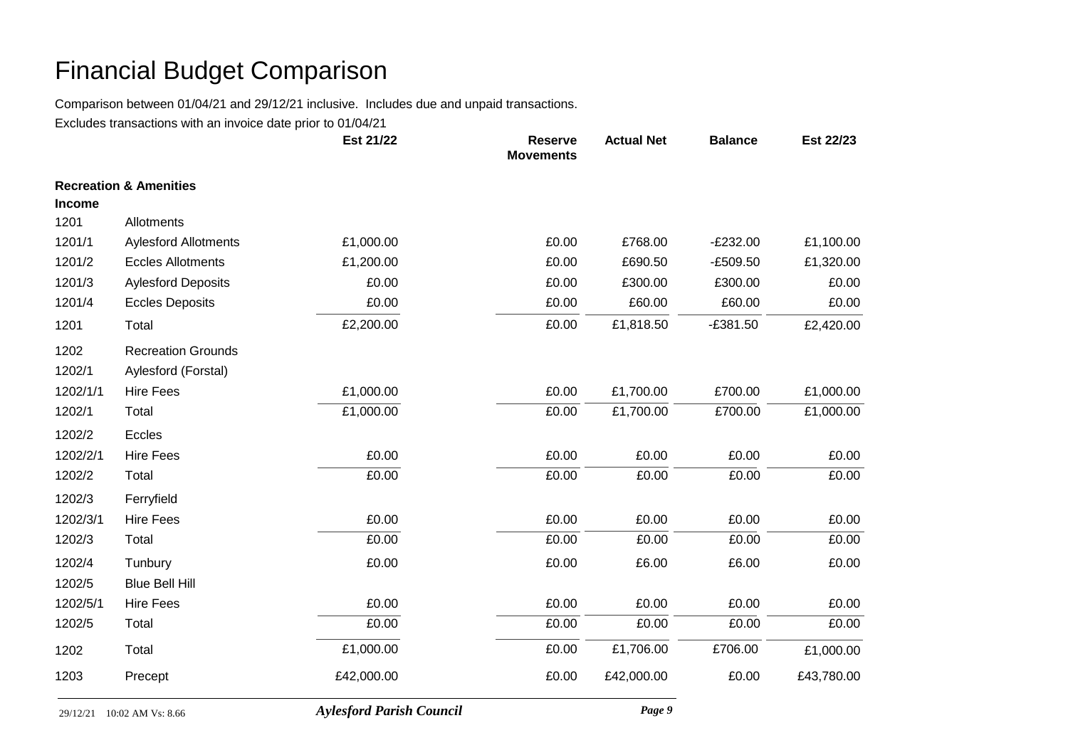Comparison between 01/04/21 and 29/12/21 inclusive. Includes due and unpaid transactions.

|               |                                   | Est 21/22                       | <b>Reserve</b><br><b>Movements</b> | <b>Actual Net</b> | <b>Balance</b> | Est 22/23  |
|---------------|-----------------------------------|---------------------------------|------------------------------------|-------------------|----------------|------------|
|               | <b>Recreation &amp; Amenities</b> |                                 |                                    |                   |                |            |
| <b>Income</b> |                                   |                                 |                                    |                   |                |            |
| 1201          | Allotments                        |                                 |                                    |                   |                |            |
| 1201/1        | <b>Aylesford Allotments</b>       | £1,000.00                       | £0.00                              | £768.00           | $-E232.00$     | £1,100.00  |
| 1201/2        | <b>Eccles Allotments</b>          | £1,200.00                       | £0.00                              | £690.50           | $-E509.50$     | £1,320.00  |
| 1201/3        | <b>Aylesford Deposits</b>         | £0.00                           | £0.00                              | £300.00           | £300.00        | £0.00      |
| 1201/4        | <b>Eccles Deposits</b>            | £0.00                           | £0.00                              | £60.00            | £60.00         | £0.00      |
| 1201          | Total                             | £2,200.00                       | £0.00                              | £1,818.50         | $-£381.50$     | £2,420.00  |
| 1202          | <b>Recreation Grounds</b>         |                                 |                                    |                   |                |            |
| 1202/1        | Aylesford (Forstal)               |                                 |                                    |                   |                |            |
| 1202/1/1      | <b>Hire Fees</b>                  | £1,000.00                       | £0.00                              | £1,700.00         | £700.00        | £1,000.00  |
| 1202/1        | Total                             | £1,000.00                       | £0.00                              | £1,700.00         | £700.00        | £1,000.00  |
| 1202/2        | Eccles                            |                                 |                                    |                   |                |            |
| 1202/2/1      | <b>Hire Fees</b>                  | £0.00                           | £0.00                              | £0.00             | £0.00          | £0.00      |
| 1202/2        | Total                             | £0.00                           | £0.00                              | £0.00             | £0.00          | £0.00      |
| 1202/3        | Ferryfield                        |                                 |                                    |                   |                |            |
| 1202/3/1      | <b>Hire Fees</b>                  | £0.00                           | £0.00                              | £0.00             | £0.00          | £0.00      |
| 1202/3        | Total                             | £0.00                           | £0.00                              | £0.00             | £0.00          | £0.00      |
| 1202/4        | Tunbury                           | £0.00                           | £0.00                              | £6.00             | £6.00          | £0.00      |
| 1202/5        | <b>Blue Bell Hill</b>             |                                 |                                    |                   |                |            |
| 1202/5/1      | <b>Hire Fees</b>                  | £0.00                           | £0.00                              | £0.00             | £0.00          | £0.00      |
| 1202/5        | Total                             | £0.00                           | £0.00                              | £0.00             | £0.00          | £0.00      |
| 1202          | Total                             | £1,000.00                       | £0.00                              | £1,706.00         | £706.00        | £1,000.00  |
| 1203          | Precept                           | £42,000.00                      | £0.00                              | £42,000.00        | £0.00          | £43,780.00 |
|               | 29/12/21 10:02 AM Vs: 8.66        | <b>Aylesford Parish Council</b> |                                    | Page 9            |                |            |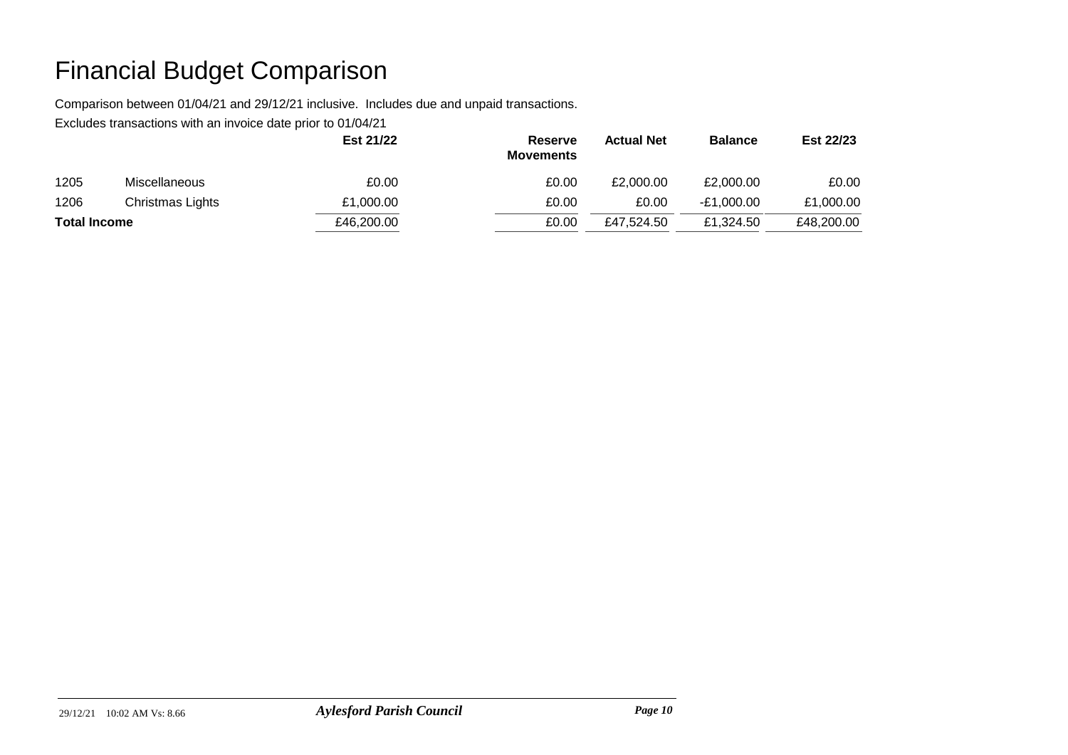Comparison between 01/04/21 and 29/12/21 inclusive. Includes due and unpaid transactions.

|                     |                      | Est 21/22  | Reserve<br><b>Movements</b> | <b>Actual Net</b> | <b>Balance</b> | Est 22/23  |
|---------------------|----------------------|------------|-----------------------------|-------------------|----------------|------------|
| 1205                | <b>Miscellaneous</b> | £0.00      | £0.00                       | £2,000.00         | £2,000.00      | £0.00      |
| 1206                | Christmas Lights     | £1,000.00  | £0.00                       | £0.00             | $-E1,000.00$   | £1,000.00  |
| <b>Total Income</b> |                      | £46,200.00 | £0.00                       | £47.524.50        | £1.324.50      | £48,200.00 |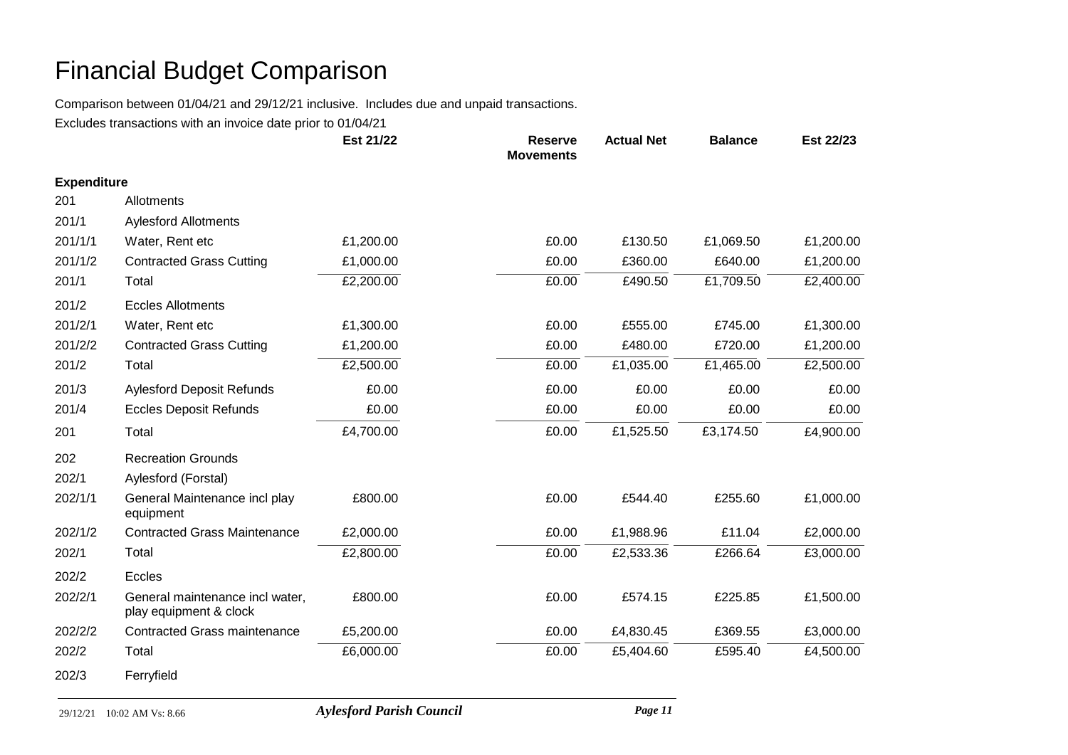Comparison between 01/04/21 and 29/12/21 inclusive. Includes due and unpaid transactions.

|                    |                                                           | Est 21/22 | <b>Reserve</b><br><b>Movements</b> | <b>Actual Net</b> | <b>Balance</b> | Est 22/23 |
|--------------------|-----------------------------------------------------------|-----------|------------------------------------|-------------------|----------------|-----------|
| <b>Expenditure</b> |                                                           |           |                                    |                   |                |           |
| 201                | Allotments                                                |           |                                    |                   |                |           |
| 201/1              | <b>Aylesford Allotments</b>                               |           |                                    |                   |                |           |
| 201/1/1            | Water, Rent etc                                           | £1,200.00 | £0.00                              | £130.50           | £1,069.50      | £1,200.00 |
| 201/1/2            | <b>Contracted Grass Cutting</b>                           | £1,000.00 | £0.00                              | £360.00           | £640.00        | £1,200.00 |
| 201/1              | Total                                                     | £2,200.00 | £0.00                              | £490.50           | £1,709.50      | £2,400.00 |
| 201/2              | <b>Eccles Allotments</b>                                  |           |                                    |                   |                |           |
| 201/2/1            | Water, Rent etc                                           | £1,300.00 | £0.00                              | £555.00           | £745.00        | £1,300.00 |
| 201/2/2            | <b>Contracted Grass Cutting</b>                           | £1,200.00 | £0.00                              | £480.00           | £720.00        | £1,200.00 |
| 201/2              | Total                                                     | £2,500.00 | £0.00                              | £1,035.00         | £1,465.00      | £2,500.00 |
| 201/3              | <b>Aylesford Deposit Refunds</b>                          | £0.00     | £0.00                              | £0.00             | £0.00          | £0.00     |
| 201/4              | <b>Eccles Deposit Refunds</b>                             | £0.00     | £0.00                              | £0.00             | £0.00          | £0.00     |
| 201                | Total                                                     | £4,700.00 | £0.00                              | £1,525.50         | £3,174.50      | £4,900.00 |
| 202                | <b>Recreation Grounds</b>                                 |           |                                    |                   |                |           |
| 202/1              | Aylesford (Forstal)                                       |           |                                    |                   |                |           |
| 202/1/1            | General Maintenance incl play<br>equipment                | £800.00   | £0.00                              | £544.40           | £255.60        | £1,000.00 |
| 202/1/2            | <b>Contracted Grass Maintenance</b>                       | £2,000.00 | £0.00                              | £1,988.96         | £11.04         | £2,000.00 |
| 202/1              | Total                                                     | £2,800.00 | £0.00                              | £2,533.36         | £266.64        | £3,000.00 |
| 202/2              | Eccles                                                    |           |                                    |                   |                |           |
| 202/2/1            | General maintenance incl water,<br>play equipment & clock | £800.00   | £0.00                              | £574.15           | £225.85        | £1,500.00 |
| 202/2/2            | <b>Contracted Grass maintenance</b>                       | £5,200.00 | £0.00                              | £4,830.45         | £369.55        | £3,000.00 |
| 202/2              | Total                                                     | £6,000.00 | £0.00                              | £5,404.60         | £595.40        | £4,500.00 |
| 202/3              | Ferryfield                                                |           |                                    |                   |                |           |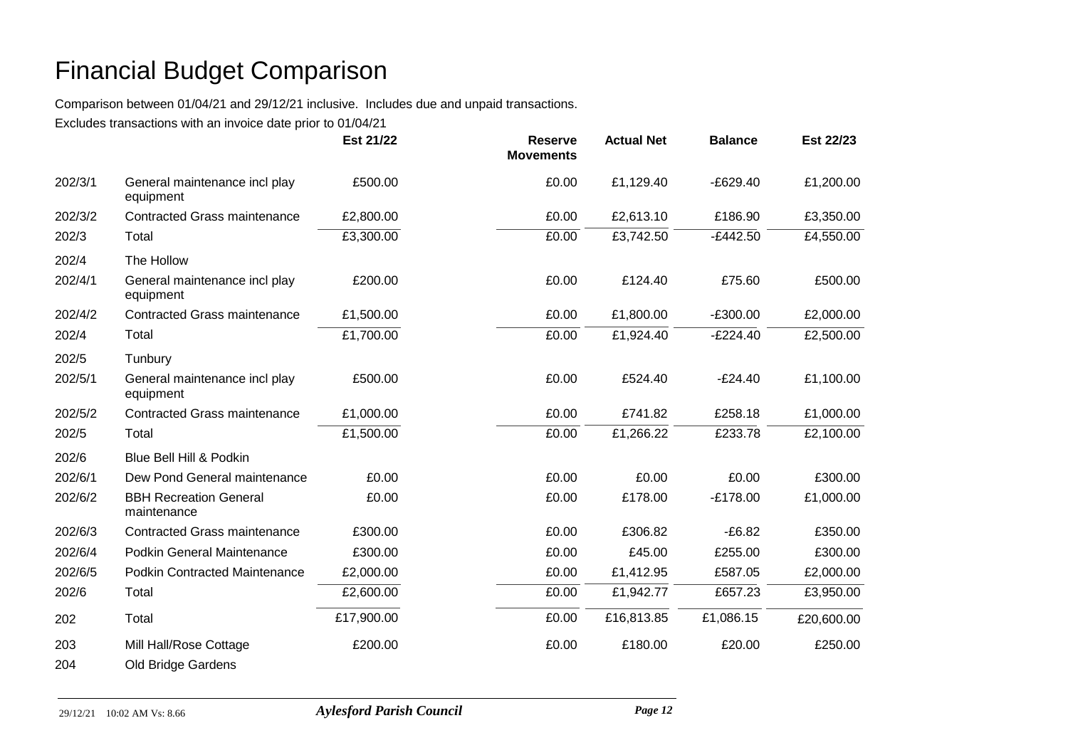Comparison between 01/04/21 and 29/12/21 inclusive. Includes due and unpaid transactions.

|         |                                              | Est 21/22  | <b>Reserve</b><br><b>Movements</b> | <b>Actual Net</b> | <b>Balance</b> | Est 22/23  |
|---------|----------------------------------------------|------------|------------------------------------|-------------------|----------------|------------|
| 202/3/1 | General maintenance incl play<br>equipment   | £500.00    | £0.00                              | £1,129.40         | $-E629.40$     | £1,200.00  |
| 202/3/2 | <b>Contracted Grass maintenance</b>          | £2,800.00  | £0.00                              | £2,613.10         | £186.90        | £3,350.00  |
| 202/3   | Total                                        | £3,300.00  | £0.00                              | £3,742.50         | $-E442.50$     | £4,550.00  |
| 202/4   | The Hollow                                   |            |                                    |                   |                |            |
| 202/4/1 | General maintenance incl play<br>equipment   | £200.00    | £0.00                              | £124.40           | £75.60         | £500.00    |
| 202/4/2 | <b>Contracted Grass maintenance</b>          | £1,500.00  | £0.00                              | £1,800.00         | $-E300.00$     | £2,000.00  |
| 202/4   | Total                                        | £1,700.00  | £0.00                              | £1,924.40         | $-E224.40$     | £2,500.00  |
| 202/5   | Tunbury                                      |            |                                    |                   |                |            |
| 202/5/1 | General maintenance incl play<br>equipment   | £500.00    | £0.00                              | £524.40           | $-E24.40$      | £1,100.00  |
| 202/5/2 | <b>Contracted Grass maintenance</b>          | £1,000.00  | £0.00                              | £741.82           | £258.18        | £1,000.00  |
| 202/5   | Total                                        | £1,500.00  | £0.00                              | £1,266.22         | £233.78        | £2,100.00  |
| 202/6   | Blue Bell Hill & Podkin                      |            |                                    |                   |                |            |
| 202/6/1 | Dew Pond General maintenance                 | £0.00      | £0.00                              | £0.00             | £0.00          | £300.00    |
| 202/6/2 | <b>BBH Recreation General</b><br>maintenance | £0.00      | £0.00                              | £178.00           | $-£178.00$     | £1,000.00  |
| 202/6/3 | <b>Contracted Grass maintenance</b>          | £300.00    | £0.00                              | £306.82           | $-£6.82$       | £350.00    |
| 202/6/4 | Podkin General Maintenance                   | £300.00    | £0.00                              | £45.00            | £255.00        | £300.00    |
| 202/6/5 | <b>Podkin Contracted Maintenance</b>         | £2,000.00  | £0.00                              | £1,412.95         | £587.05        | £2,000.00  |
| 202/6   | Total                                        | £2,600.00  | £0.00                              | £1,942.77         | £657.23        | £3,950.00  |
| 202     | Total                                        | £17,900.00 | £0.00                              | £16,813.85        | £1,086.15      | £20,600.00 |
| 203     | Mill Hall/Rose Cottage                       | £200.00    | £0.00                              | £180.00           | £20.00         | £250.00    |
| 204     | Old Bridge Gardens                           |            |                                    |                   |                |            |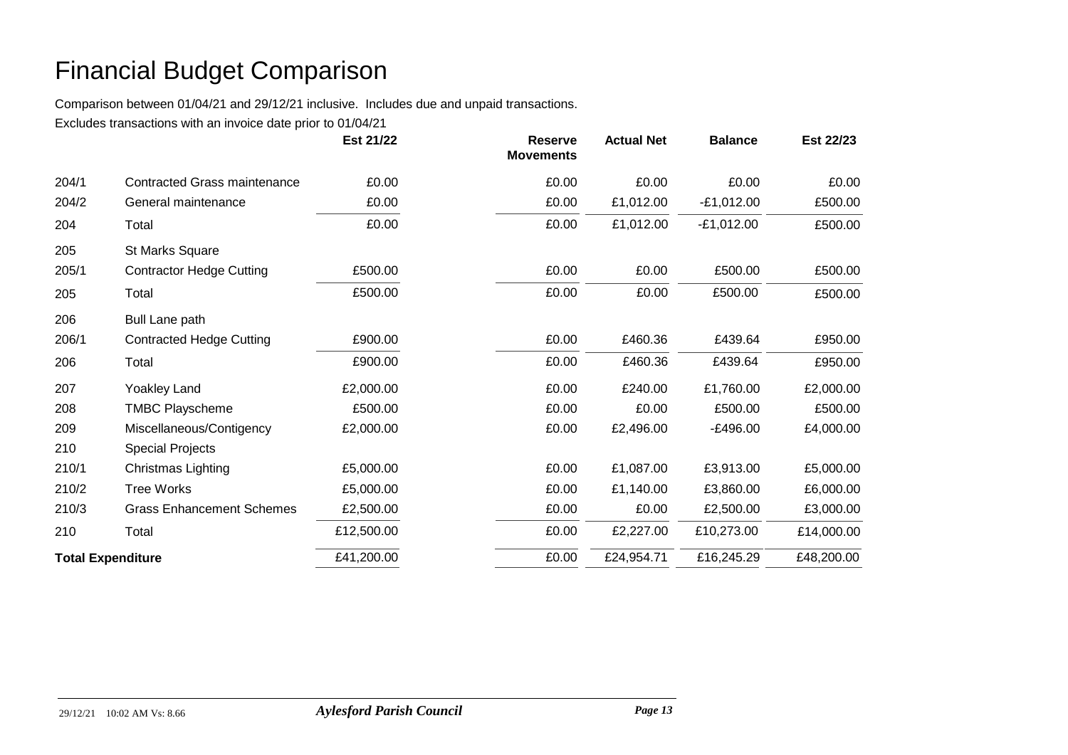Comparison between 01/04/21 and 29/12/21 inclusive. Includes due and unpaid transactions.

|                          |                                     | Est 21/22  | <b>Reserve</b><br><b>Movements</b> | <b>Actual Net</b> | <b>Balance</b> | Est 22/23  |
|--------------------------|-------------------------------------|------------|------------------------------------|-------------------|----------------|------------|
| 204/1                    | <b>Contracted Grass maintenance</b> | £0.00      | £0.00                              | £0.00             | £0.00          | £0.00      |
| 204/2                    | General maintenance                 | £0.00      | £0.00                              | £1,012.00         | $-E1,012.00$   | £500.00    |
| 204                      | Total                               | £0.00      | £0.00                              | £1,012.00         | $-E1,012.00$   | £500.00    |
| 205                      | St Marks Square                     |            |                                    |                   |                |            |
| 205/1                    | <b>Contractor Hedge Cutting</b>     | £500.00    | £0.00                              | £0.00             | £500.00        | £500.00    |
| 205                      | Total                               | £500.00    | £0.00                              | £0.00             | £500.00        | £500.00    |
| 206                      | <b>Bull Lane path</b>               |            |                                    |                   |                |            |
| 206/1                    | <b>Contracted Hedge Cutting</b>     | £900.00    | £0.00                              | £460.36           | £439.64        | £950.00    |
| 206                      | Total                               | £900.00    | £0.00                              | £460.36           | £439.64        | £950.00    |
| 207                      | <b>Yoakley Land</b>                 | £2,000.00  | £0.00                              | £240.00           | £1,760.00      | £2,000.00  |
| 208                      | <b>TMBC Playscheme</b>              | £500.00    | £0.00                              | £0.00             | £500.00        | £500.00    |
| 209                      | Miscellaneous/Contigency            | £2,000.00  | £0.00                              | £2,496.00         | $-E496.00$     | £4,000.00  |
| 210                      | <b>Special Projects</b>             |            |                                    |                   |                |            |
| 210/1                    | Christmas Lighting                  | £5,000.00  | £0.00                              | £1,087.00         | £3,913.00      | £5,000.00  |
| 210/2                    | <b>Tree Works</b>                   | £5,000.00  | £0.00                              | £1,140.00         | £3,860.00      | £6,000.00  |
| 210/3                    | <b>Grass Enhancement Schemes</b>    | £2,500.00  | £0.00                              | £0.00             | £2,500.00      | £3,000.00  |
| 210                      | Total                               | £12,500.00 | £0.00                              | £2,227.00         | £10,273.00     | £14,000.00 |
| <b>Total Expenditure</b> |                                     | £41,200.00 | £0.00                              | £24,954.71        | £16,245.29     | £48,200.00 |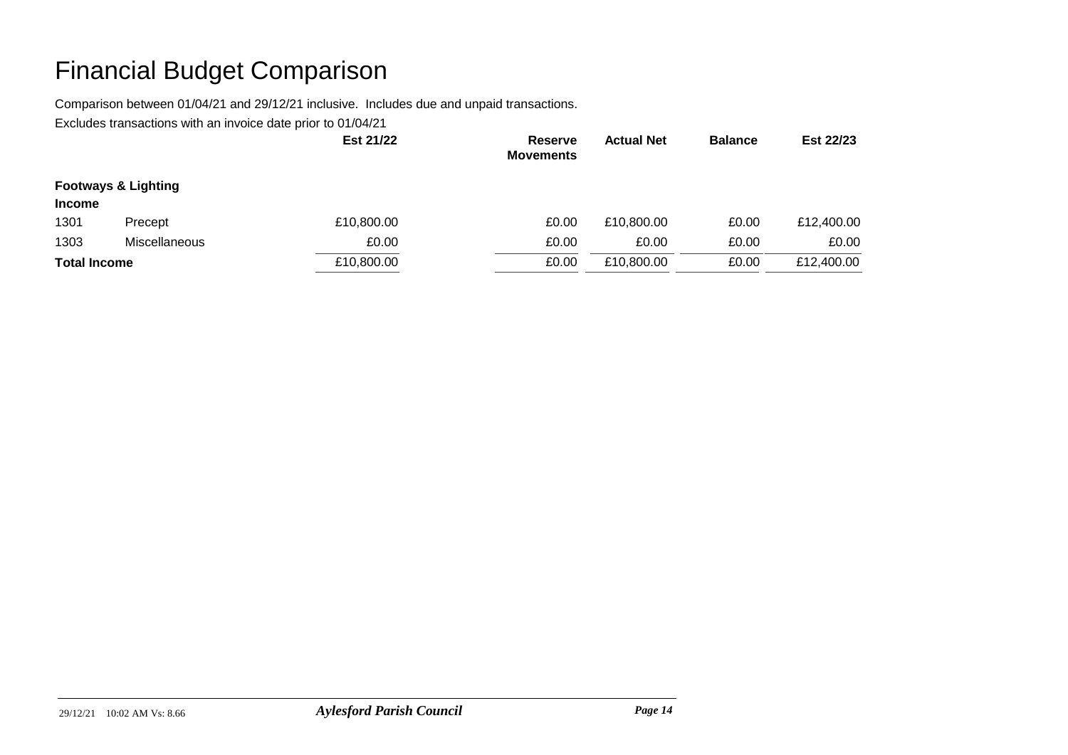Comparison between 01/04/21 and 29/12/21 inclusive. Includes due and unpaid transactions.

|                     |                                | Est 21/22  | <b>Reserve</b><br><b>Movements</b> | <b>Actual Net</b> | <b>Balance</b> | Est 22/23  |
|---------------------|--------------------------------|------------|------------------------------------|-------------------|----------------|------------|
| <b>Income</b>       | <b>Footways &amp; Lighting</b> |            |                                    |                   |                |            |
| 1301                | Precept                        | £10,800.00 | £0.00                              | £10,800.00        | £0.00          | £12,400.00 |
| 1303                | Miscellaneous                  | £0.00      | £0.00                              | £0.00             | £0.00          | £0.00      |
| <b>Total Income</b> |                                | £10,800.00 | £0.00                              | £10,800.00        | £0.00          | £12,400.00 |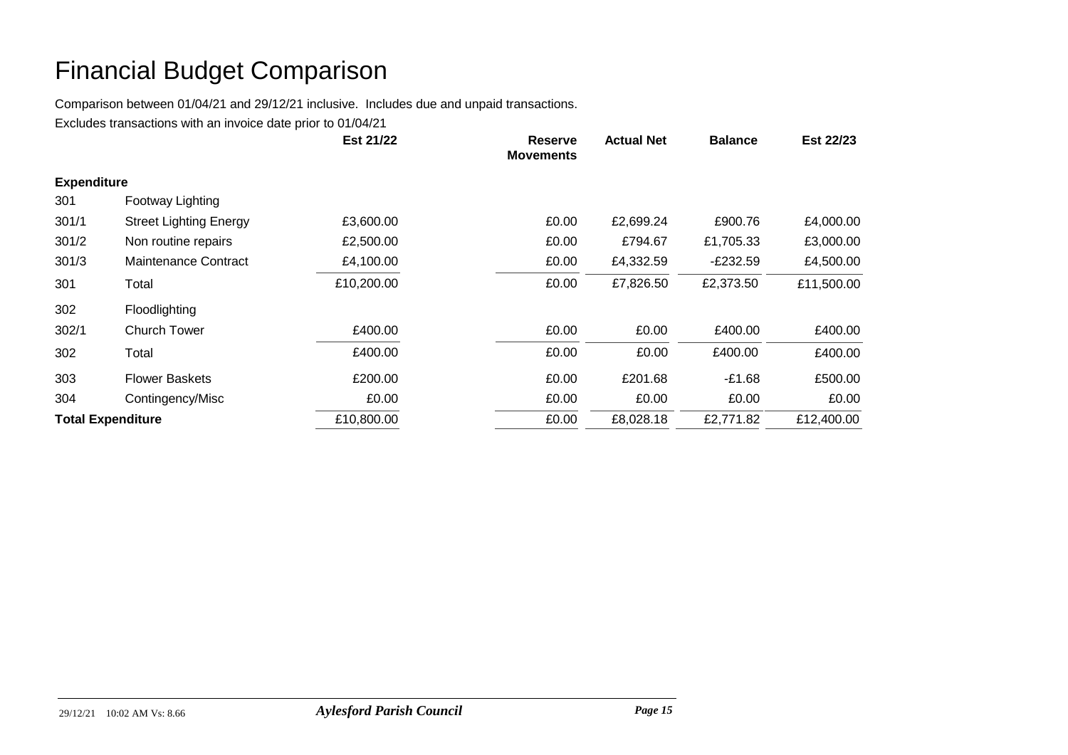Comparison between 01/04/21 and 29/12/21 inclusive. Includes due and unpaid transactions.

|                    |                               | Est 21/22  | <b>Reserve</b><br><b>Movements</b> | <b>Actual Net</b> | <b>Balance</b> | Est 22/23  |
|--------------------|-------------------------------|------------|------------------------------------|-------------------|----------------|------------|
| <b>Expenditure</b> |                               |            |                                    |                   |                |            |
| 301                | Footway Lighting              |            |                                    |                   |                |            |
| 301/1              | <b>Street Lighting Energy</b> | £3,600.00  | £0.00                              | £2,699.24         | £900.76        | £4,000.00  |
| 301/2              | Non routine repairs           | £2,500.00  | £0.00                              | £794.67           | £1,705.33      | £3,000.00  |
| 301/3              | Maintenance Contract          | £4,100.00  | £0.00                              | £4,332.59         | $-E232.59$     | £4,500.00  |
| 301                | Total                         | £10,200.00 | £0.00                              | £7,826.50         | £2,373.50      | £11,500.00 |
| 302                | Floodlighting                 |            |                                    |                   |                |            |
| 302/1              | <b>Church Tower</b>           | £400.00    | £0.00                              | £0.00             | £400.00        | £400.00    |
| 302                | Total                         | £400.00    | £0.00                              | £0.00             | £400.00        | £400.00    |
| 303                | <b>Flower Baskets</b>         | £200.00    | £0.00                              | £201.68           | -£1.68         | £500.00    |
| 304                | Contingency/Misc              | £0.00      | £0.00                              | £0.00             | £0.00          | £0.00      |
|                    | <b>Total Expenditure</b>      | £10,800.00 | £0.00                              | £8,028.18         | £2,771.82      | £12,400.00 |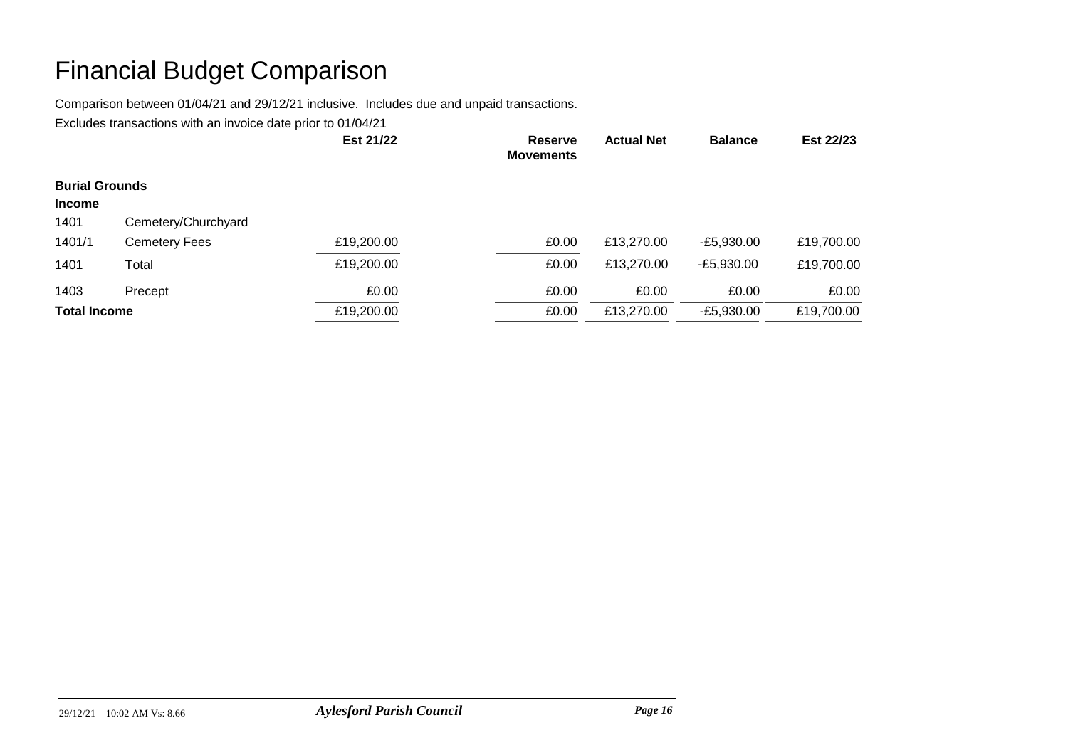Comparison between 01/04/21 and 29/12/21 inclusive. Includes due and unpaid transactions.

|                       |                      | Est 21/22  | <b>Reserve</b><br><b>Movements</b> | <b>Actual Net</b> | <b>Balance</b> | Est 22/23  |
|-----------------------|----------------------|------------|------------------------------------|-------------------|----------------|------------|
| <b>Burial Grounds</b> |                      |            |                                    |                   |                |            |
| <b>Income</b>         |                      |            |                                    |                   |                |            |
| 1401                  | Cemetery/Churchyard  |            |                                    |                   |                |            |
| 1401/1                | <b>Cemetery Fees</b> | £19,200.00 | £0.00                              | £13,270.00        | $-E5,930.00$   | £19,700.00 |
| 1401                  | Total                | £19,200.00 | £0.00                              | £13,270.00        | $-E5,930.00$   | £19,700.00 |
| 1403                  | Precept              | £0.00      | £0.00                              | £0.00             | £0.00          | £0.00      |
| <b>Total Income</b>   |                      | £19,200.00 | £0.00                              | £13,270.00        | $-E5,930.00$   | £19,700.00 |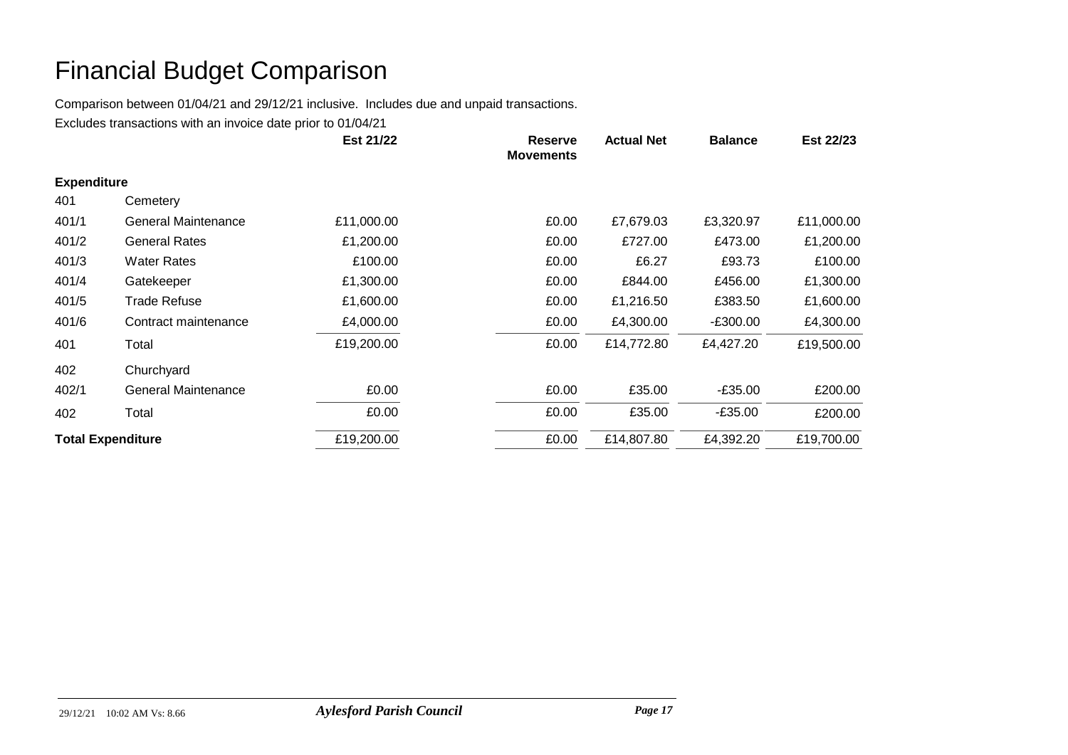Comparison between 01/04/21 and 29/12/21 inclusive. Includes due and unpaid transactions.

|                          |                      | Est 21/22  | <b>Reserve</b><br><b>Movements</b> | <b>Actual Net</b>   | <b>Balance</b> | Est 22/23  |
|--------------------------|----------------------|------------|------------------------------------|---------------------|----------------|------------|
| <b>Expenditure</b>       |                      |            |                                    |                     |                |            |
| 401                      | Cemetery             |            |                                    |                     |                |            |
| 401/1                    | General Maintenance  | £11,000.00 |                                    | £7,679.03<br>£0.00  | £3,320.97      | £11,000.00 |
| 401/2                    | <b>General Rates</b> | £1,200.00  |                                    | £727.00<br>£0.00    | £473.00        | £1,200.00  |
| 401/3                    | <b>Water Rates</b>   | £100.00    |                                    | £0.00<br>£6.27      | £93.73         | £100.00    |
| 401/4                    | Gatekeeper           | £1,300.00  |                                    | £0.00<br>£844.00    | £456.00        | £1,300.00  |
| 401/5                    | <b>Trade Refuse</b>  | £1,600.00  |                                    | £0.00<br>£1,216.50  | £383.50        | £1,600.00  |
| 401/6                    | Contract maintenance | £4,000.00  |                                    | £0.00<br>£4,300.00  | -£300.00       | £4,300.00  |
| 401                      | Total                | £19,200.00 |                                    | £14,772.80<br>£0.00 | £4,427.20      | £19,500.00 |
| 402                      | Churchyard           |            |                                    |                     |                |            |
| 402/1                    | General Maintenance  | £0.00      |                                    | £0.00<br>£35.00     | $-£35.00$      | £200.00    |
| 402                      | Total                | £0.00      |                                    | £0.00<br>£35.00     | $-£35.00$      | £200.00    |
| <b>Total Expenditure</b> |                      | £19,200.00 |                                    | £0.00<br>£14,807.80 | £4,392.20      | £19,700.00 |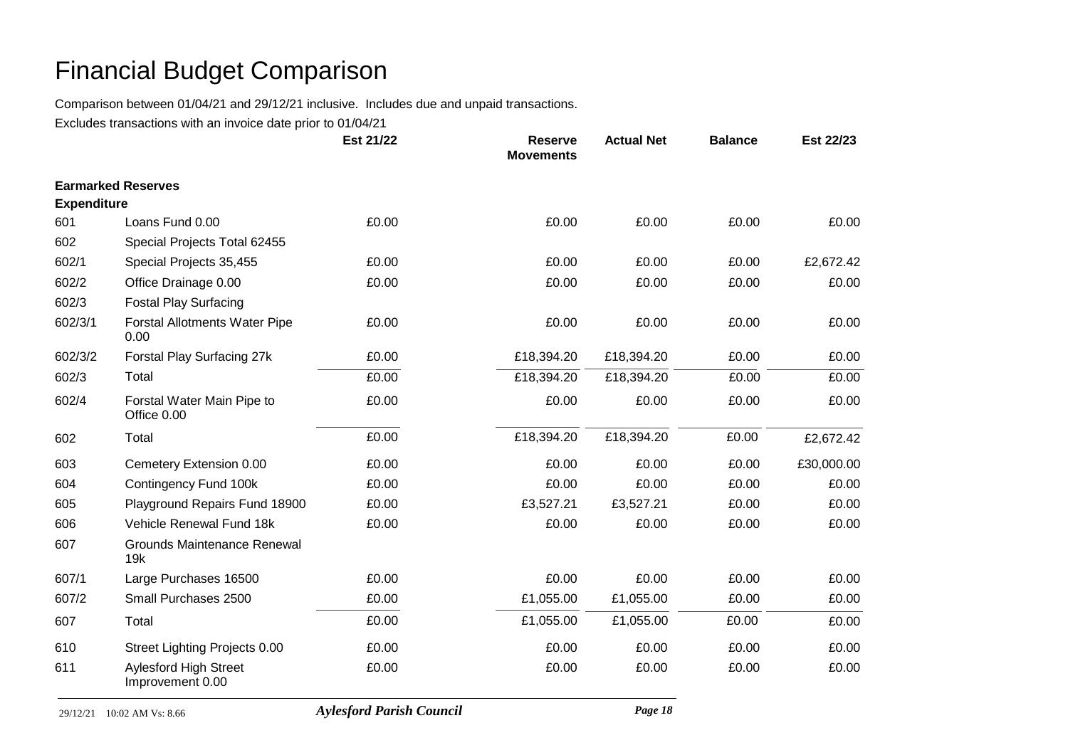Comparison between 01/04/21 and 29/12/21 inclusive. Includes due and unpaid transactions.

|                    |                                                  | Est 21/22 | <b>Reserve</b><br><b>Movements</b> | <b>Actual Net</b> | <b>Balance</b> | Est 22/23  |
|--------------------|--------------------------------------------------|-----------|------------------------------------|-------------------|----------------|------------|
|                    | <b>Earmarked Reserves</b>                        |           |                                    |                   |                |            |
| <b>Expenditure</b> |                                                  |           |                                    |                   |                |            |
| 601                | Loans Fund 0.00                                  | £0.00     | £0.00                              | £0.00             | £0.00          | £0.00      |
| 602                | Special Projects Total 62455                     |           |                                    |                   |                |            |
| 602/1              | Special Projects 35,455                          | £0.00     | £0.00                              | £0.00             | £0.00          | £2,672.42  |
| 602/2              | Office Drainage 0.00                             | £0.00     | £0.00                              | £0.00             | £0.00          | £0.00      |
| 602/3              | <b>Fostal Play Surfacing</b>                     |           |                                    |                   |                |            |
| 602/3/1            | <b>Forstal Allotments Water Pipe</b><br>0.00     | £0.00     | £0.00                              | £0.00             | £0.00          | £0.00      |
| 602/3/2            | Forstal Play Surfacing 27k                       | £0.00     | £18,394.20                         | £18,394.20        | £0.00          | £0.00      |
| 602/3              | Total                                            | £0.00     | £18,394.20                         | £18,394.20        | £0.00          | £0.00      |
| 602/4              | Forstal Water Main Pipe to<br>Office 0.00        | £0.00     | £0.00                              | £0.00             | £0.00          | £0.00      |
| 602                | Total                                            | £0.00     | £18,394.20                         | £18,394.20        | £0.00          | £2,672.42  |
| 603                | Cemetery Extension 0.00                          | £0.00     | £0.00                              | £0.00             | £0.00          | £30,000.00 |
| 604                | Contingency Fund 100k                            | £0.00     | £0.00                              | £0.00             | £0.00          | £0.00      |
| 605                | Playground Repairs Fund 18900                    | £0.00     | £3,527.21                          | £3,527.21         | £0.00          | £0.00      |
| 606                | Vehicle Renewal Fund 18k                         | £0.00     | £0.00                              | £0.00             | £0.00          | £0.00      |
| 607                | <b>Grounds Maintenance Renewal</b><br>19k        |           |                                    |                   |                |            |
| 607/1              | Large Purchases 16500                            | £0.00     | £0.00                              | £0.00             | £0.00          | £0.00      |
| 607/2              | Small Purchases 2500                             | £0.00     | £1,055.00                          | £1,055.00         | £0.00          | £0.00      |
| 607                | Total                                            | £0.00     | £1,055.00                          | £1,055.00         | £0.00          | £0.00      |
| 610                | Street Lighting Projects 0.00                    | £0.00     | £0.00                              | £0.00             | £0.00          | £0.00      |
| 611                | <b>Aylesford High Street</b><br>Improvement 0.00 | £0.00     | £0.00                              | £0.00             | £0.00          | £0.00      |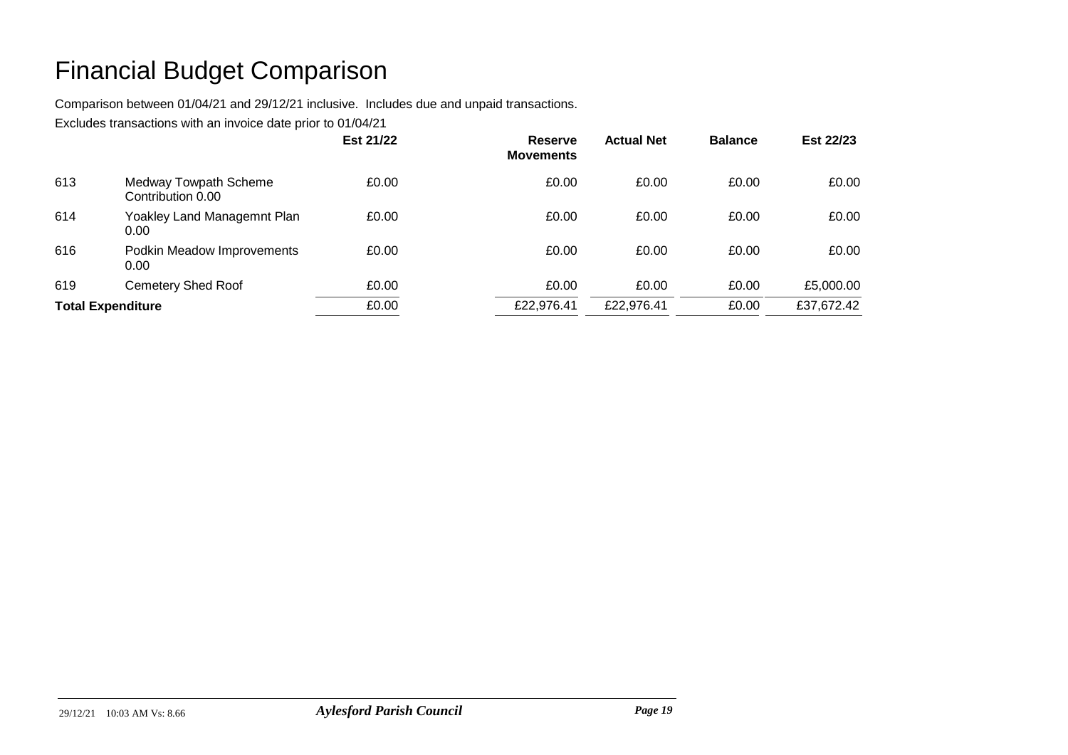Comparison between 01/04/21 and 29/12/21 inclusive. Includes due and unpaid transactions.

|                          |                                            | Est 21/22 | <b>Reserve</b><br><b>Movements</b> | <b>Actual Net</b> | <b>Balance</b> | Est 22/23  |
|--------------------------|--------------------------------------------|-----------|------------------------------------|-------------------|----------------|------------|
| 613                      | Medway Towpath Scheme<br>Contribution 0.00 | £0.00     | £0.00                              | £0.00             | £0.00          | £0.00      |
| 614                      | Yoakley Land Managemnt Plan<br>0.00        | £0.00     | £0.00                              | £0.00             | £0.00          | £0.00      |
| 616                      | Podkin Meadow Improvements<br>0.00         | £0.00     | £0.00                              | £0.00             | £0.00          | £0.00      |
| 619                      | <b>Cemetery Shed Roof</b>                  | £0.00     | £0.00                              | £0.00             | £0.00          | £5,000.00  |
| <b>Total Expenditure</b> |                                            | £0.00     | £22,976.41                         | £22,976.41        | £0.00          | £37,672.42 |